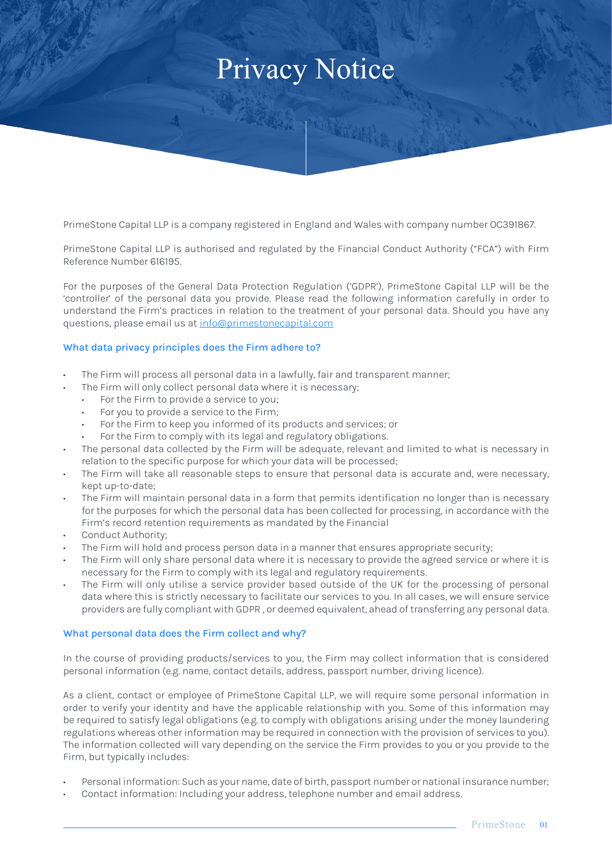# Privacy Notice

HAR MANY

PrimeStone Capital LLP is a company registered in England and Wales with company number OC391867.

PrimeStone Capital LLP is authorised and regulated by the Financial Conduct Authority ("FCA") with Firm Reference Number 616195.

For the purposes of the General Data Protection Regulation ('GDPR'), PrimeStone Capital LLP will be the 'controller' of the personal data you provide. Please read the following information carefully in order to understand the Firm's practices in relation to the treatment of your personal data. Should you have any questions, please email us at [info@primestonecapital.com](mailto:info%40primestonecapital.com?subject=)

# What data privacy principles does the Firm adhere to?

- The Firm will process all personal data in a lawfully, fair and transparent manner;
- The Firm will only collect personal data where it is necessary;
	- For the Firm to provide a service to you;
	- For you to provide a service to the Firm;
	- For the Firm to keep you informed of its products and services; or
	- For the Firm to comply with its legal and regulatory obligations.
- The personal data collected by the Firm will be adequate, relevant and limited to what is necessary in relation to the specific purpose for which your data will be processed;
- The Firm will take all reasonable steps to ensure that personal data is accurate and, were necessary, kept up-to-date;
- The Firm will maintain personal data in a form that permits identification no longer than is necessary for the purposes for which the personal data has been collected for processing, in accordance with the Firm's record retention requirements as mandated by the Financial
- Conduct Authority;
- The Firm will hold and process person data in a manner that ensures appropriate security;
- The Firm will only share personal data where it is necessary to provide the agreed service or where it is necessary for the Firm to comply with its legal and regulatory requirements.
- The Firm will only utilise a service provider based outside of the UK for the processing of personal data where this is strictly necessary to facilitate our services to you. In all cases, we will ensure service providers are fully compliant with GDPR , or deemed equivalent, ahead of transferring any personal data.

# What personal data does the Firm collect and why?

In the course of providing products/services to you, the Firm may collect information that is considered personal information (e.g. name, contact details, address, passport number, driving licence).

As a client, contact or employee of PrimeStone Capital LLP, we will require some personal information in order to verify your identity and have the applicable relationship with you. Some of this information may be required to satisfy legal obligations (e.g. to comply with obligations arising under the money laundering regulations whereas other information may be required in connection with the provision of services to you). The information collected will vary depending on the service the Firm provides to you or you provide to the Firm, but typically includes:

- Personal information: Such as your name, date of birth, passport number or national insurance number;
- Contact information: Including your address, telephone number and email address.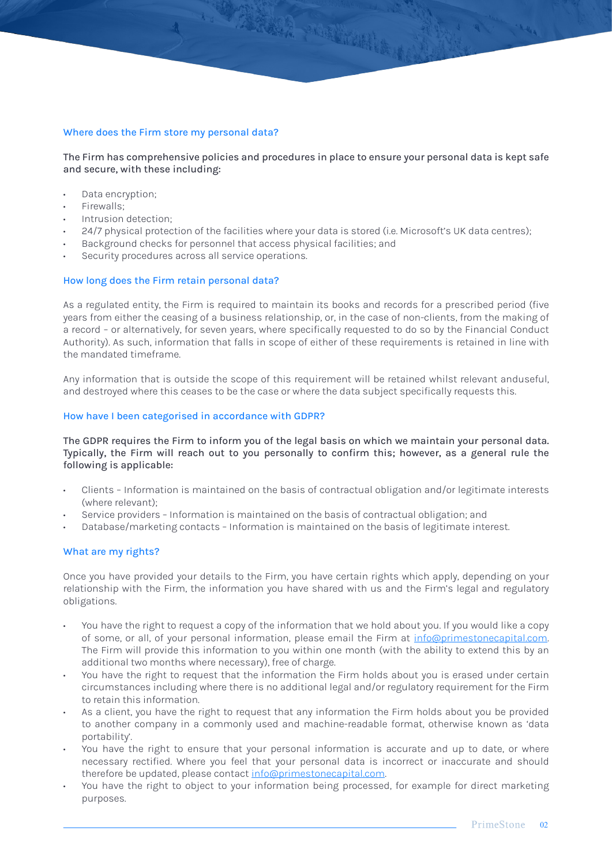# Where does the Firm store my personal data?

The Firm has comprehensive policies and procedures in place to ensure your personal data is kept safe and secure, with these including:

A TARAR PORTUGAL

- Data encryption;
- Firewalls;
- Intrusion detection;
- 24/7 physical protection of the facilities where your data is stored (i.e. Microsoft's UK data centres);
- Background checks for personnel that access physical facilities; and
- Security procedures across all service operations.

#### How long does the Firm retain personal data?

As a regulated entity, the Firm is required to maintain its books and records for a prescribed period (five years from either the ceasing of a business relationship, or, in the case of non-clients, from the making of a record – or alternatively, for seven years, where specifically requested to do so by the Financial Conduct Authority). As such, information that falls in scope of either of these requirements is retained in line with the mandated timeframe.

Any information that is outside the scope of this requirement will be retained whilst relevant anduseful, and destroyed where this ceases to be the case or where the data subject specifically requests this.

#### How have I been categorised in accordance with GDPR?

The GDPR requires the Firm to inform you of the legal basis on which we maintain your personal data. Typically, the Firm will reach out to you personally to confirm this; however, as a general rule the following is applicable:

- Clients Information is maintained on the basis of contractual obligation and/or legitimate interests (where relevant);
- Service providers Information is maintained on the basis of contractual obligation; and
- Database/marketing contacts Information is maintained on the basis of legitimate interest.

# What are my rights?

Once you have provided your details to the Firm, you have certain rights which apply, depending on your relationship with the Firm, the information you have shared with us and the Firm's legal and regulatory obligations.

- You have the right to request a copy of the information that we hold about you. If you would like a copy of some, or all, of your personal information, please email the Firm at [info@primestonecapital.com.](mailto:info%40primestonecapital.com?subject=) The Firm will provide this information to you within one month (with the ability to extend this by an additional two months where necessary), free of charge.
- You have the right to request that the information the Firm holds about you is erased under certain circumstances including where there is no additional legal and/or regulatory requirement for the Firm to retain this information.
- As a client, you have the right to request that any information the Firm holds about you be provided to another company in a commonly used and machine-readable format, otherwise known as 'data portability'.
- You have the right to ensure that your personal information is accurate and up to date, or where necessary rectified. Where you feel that your personal data is incorrect or inaccurate and should therefore be updated, please contact [info@primestonecapital.com.](mailto:info%40primestonecapital.com?subject=)
- You have the right to object to your information being processed, for example for direct marketing purposes.